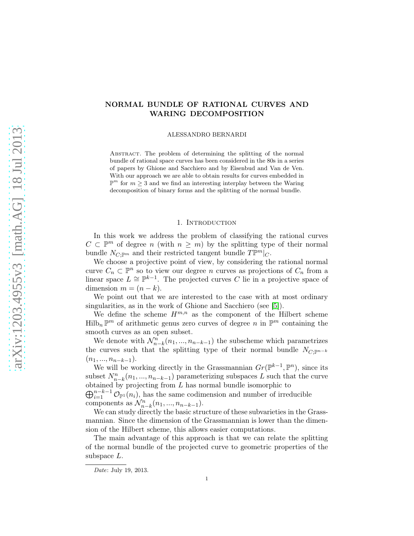# NORMAL BUNDLE OF RATIONAL CURVES AND WARING DECOMPOSITION

ALESSANDRO BERNARDI

ABSTRACT. The problem of determining the splitting of the normal bundle of rational space curves has been considered in the 80s in a series of papers by Ghione and Sacchiero and by Eisenbud and Van de Ven. With our approach we are able to obtain results for curves embedded in  $\mathbb{P}^m$  for  $m \geq 3$  and we find an interesting interplay between the Waring decomposition of binary forms and the splitting of the normal bundle.

## 1. INTRODUCTION

In this work we address the problem of classifying the rational curves  $C \subset \mathbb{P}^m$  of degree n (with  $n \geq m$ ) by the splitting type of their normal bundle  $N_{C; \mathbb{P}^m}$  and their restricted tangent bundle  $T\mathbb{P}^m|_C$ .

We choose a projective point of view, by considering the rational normal curve  $C_n \subset \mathbb{P}^n$  so to view our degree n curves as projections of  $C_n$  from a linear space  $L \cong \mathbb{P}^{k-1}$ . The projected curves C lie in a projective space of dimension  $m = (n - k)$ .

We point out that we are interested to the case with at most ordinary singularities, as in the work of Ghione and Sacchiero (see [\[5\]](#page-18-0)).

We define the scheme  $H^{m,n}$  as the component of the Hilbert scheme  $\text{Hilb}_n \mathbb{P}^m$  of arithmetic genus zero curves of degree n in  $\mathbb{P}^m$  containing the smooth curves as an open subset.

We denote with  $\mathcal{N}_{n-k}^n(n_1, ..., n_{n-k-1})$  the subscheme which parametrizes the curves such that the splitting type of their normal bundle  $N_{C; \mathbb{P}^{n-k}}$  $(n_1, ..., n_{n-k-1}).$ 

We will be working directly in the Grassmannian  $Gr(\mathbb{P}^{k-1}, \mathbb{P}^n)$ , since its subset  $N_{n-k}^n(n_1, ..., n_{n-k-1})$  parameterizing subspaces L such that the curve obtained by projecting from  $L$  has normal bundle isomorphic to

 $\bigoplus_{i=1}^{n-k-1} \mathcal{O}_{\mathbb{P}^1}(n_i)$ , has the same codimension and number of irreducible components as  $\mathcal{N}_{n-k}^n(n_1, ..., n_{n-k-1}).$ 

We can study directly the basic structure of these subvarieties in the Grassmannian. Since the dimension of the Grassmannian is lower than the dimension of the Hilbert scheme, this allows easier computations.

The main advantage of this approach is that we can relate the splitting of the normal bundle of the projected curve to geometric properties of the subspace L.

Date: July 19, 2013.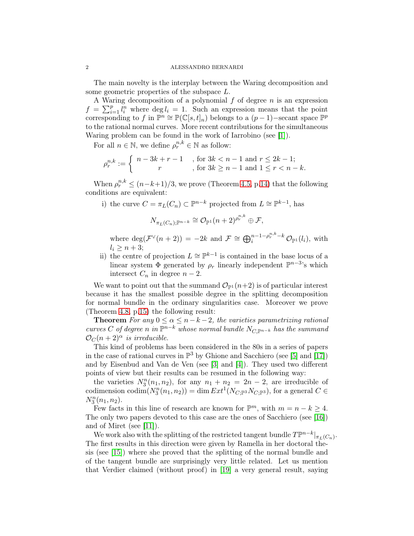The main novelty is the interplay between the Waring decomposition and some geometric properties of the subspace L.

A Waring decomposition of a polynomial  $f$  of degree  $n$  is an expression  $f = \sum_{i=1}^p l_i^n$  where  $\deg l_i = 1$ . Such an expression means that the point corresponding to f in  $\mathbb{P}^n \cong \mathbb{P}(\mathbb{C}[s,t]_n)$  belongs to a  $(p-1)$ -secant space  $\mathbb{P}^p$ to the rational normal curves. More recent contributions for the simultaneous Waring problem can be found in the work of Iarrobino (see [\[1\]](#page-18-1)).

For all  $n \in \mathbb{N}$ , we define  $\rho_r^{n,k} \in \mathbb{N}$  as follow:

$$
\rho_r^{n,k} := \begin{cases} n - 3k + r - 1, & \text{for } 3k < n - 1 \text{ and } r \le 2k - 1; \\ r, & \text{for } 3k \ge n - 1 \text{ and } 1 \le r < n - k. \end{cases}
$$

When  $\rho_r^{n,k} \le (n-k+1)/3$ , we prove (Theorem [4.5,](#page-13-0) p[.14\)](#page-13-0) that the following conditions are equivalent:

i) the curve  $C = \pi_L(C_n) \subset \mathbb{P}^{n-k}$  projected from  $L \cong \mathbb{P}^{k-1}$ , has

$$
N_{\pi_L(C_n);\mathbb{P}^{n-k}} \cong \mathcal{O}_{\mathbb{P}^1}(n+2)^{\rho_r^{n,k}} \oplus \mathcal{F},
$$

where  $\deg(\mathcal{F}^{\vee}(n+2)) = -2k$  and  $\mathcal{F} \cong \bigoplus_{i=1}^{n-1-\rho_r^{n,k}-k} \mathcal{O}_{\mathbb{P}^1}(l_i)$ , with  $l_i > n+3$ ;

ii) the centre of projection  $L \cong \mathbb{P}^{k-1}$  is contained in the base locus of a linear system  $\Phi$  generated by  $\rho_r$  linearly independent  $\mathbb{P}^{n-3}$ 's which intersect  $C_n$  in degree  $n-2$ .

We want to point out that the summand  $\mathcal{O}_{\mathbb{P}^1}(n+2)$  is of particular interest because it has the smallest possible degree in the splitting decomposition for normal bundle in the ordinary singularities case. Moreover we prove (Theorem [4.8,](#page-14-0) p[.15\)](#page-14-0) the following result:

**Theorem** *For any*  $0 \le \alpha \le n - k - 2$ *, the varieties parametrizing rational*  $curves C of degree n in  $\mathbb{P}^{n-k}$  whose normal bundle  $N_{C,\mathbb{P}^{n-k}}$  has the summand$  $\mathcal{O}_C(n+2)^\alpha$  *is irreducible.* 

This kind of problems has been considered in the 80s in a series of papers in the case of rational curves in  $\mathbb{P}^3$  by Ghione and Sacchiero (see [\[5\]](#page-18-0) and [\[17\]](#page-19-0)) and by Eisenbud and Van de Ven (see [\[3\]](#page-18-2) and [\[4\]](#page-18-3)). They used two different points of view but their results can be resumed in the following way:

the varieties  $N_3^n(n_1, n_2)$ , for any  $n_1 + n_2 = 2n - 2$ , are irreducible of codimension  $\text{codim}(N_3^n(n_1, n_2)) = \dim Ext^1(N_{C; \mathbb{P}^3} N_{C; \mathbb{P}^3})$ , for a general  $C \in$  $N_3^n(n_1, n_2)$ .

Few facts in this line of research are known for  $\mathbb{P}^m$ , with  $m = n - k \geq 4$ . The only two papers devoted to this case are the ones of Sacchiero (see [\[16\]](#page-19-1)) and of Miret (see [\[11\]](#page-18-4)).

We work also with the splitting of the restricted tangent bundle  $T\mathbb{P}^{n-k}|_{\pi_L(C_n)}$ . The first results in this direction were given by Ramella in her doctoral thesis (see [\[15\]](#page-19-2)) where she proved that the splitting of the normal bundle and of the tangent bundle are surprisingly very little related. Let us mention that Verdier claimed (without proof) in [\[19\]](#page-19-3) a very general result, saying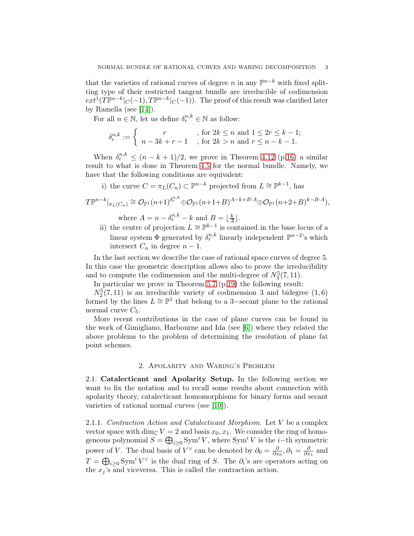that the varieties of rational curves of degree n in any  $\mathbb{P}^{n-k}$  with fixed splitting type of their restricted tangent bundle are irreducible of codimension  $ext^{1}(T\mathbb{P}^{n-k}|_{C}(-1), T\mathbb{P}^{n-k}|_{C}(-1)).$  The proof of this result was clarified later by Ramella (see [\[14\]](#page-19-4)).

For all  $n \in \mathbb{N}$ , let us define  $\delta_r^{n,k} \in \mathbb{N}$  as follow:

$$
\delta_r^{n,k} := \left\{ \begin{array}{c} r \\ n - 3k + r - 1 \end{array}, \text{ for } 2k \le n \text{ and } 1 \le 2r \le k - 1; \\ \text{, for } 2k > n \text{ and } r \le n - k - 1.
$$

When  $\delta_r^{n,k} \leq (n-k+1)/2$ , we prove in Theorem [4.12](#page-15-0) (p[.16\)](#page-15-0) a similar result to what is done in Theorem [4.5](#page-13-0) for the normal bundle. Namely, we have that the following conditions are equivalent:

i) the curve  $C = \pi_L(C_n) \subset \mathbb{P}^{n-k}$  projected from  $L \cong \mathbb{P}^{k-1}$ , has

$$
T\mathbb{P}^{n-k}|_{\pi_L(C_n)} \cong \mathcal{O}_{\mathbb{P}^1}(n+1)^{\delta_r^{n,k}} \oplus \mathcal{O}_{\mathbb{P}^1}(n+1+B)^{A-k+B\cdot A} \oplus \mathcal{O}_{\mathbb{P}^1}(n+2+B)^{k-B\cdot A}),
$$
  
where  $A = n - \delta_r^{n,k} - k$  and  $B = \lfloor \frac{k}{A} \rfloor$ .

ii) the centre of projection  $L \cong \mathbb{P}^{k-1}$  is contained in the base locus of a linear system  $\Phi$  generated by  $\delta_r^{n,k}$  linearly independent  $\mathbb{P}^{n-2}$ 's which intersect  $C_n$  in degree  $n-1$ .

In the last section we describe the case of rational space curves of degree 5. In this case the geometric description allows also to prove the irreducibility and to compute the codimension and the multi-degree of  $N_3^5(7, 11)$ .

In particular we prove in Theorem [5.7](#page-18-5) (p[.19\)](#page-18-5) the following result:

 $N_2^5(7, 11)$  is an irreducible variety of codimension 3 and bidegree  $(1, 6)$ formed by the lines  $L \cong \mathbb{P}^1$  that belong to a 3-secant plane to the rational normal curve  $C_5$ .

More recent contributions in the case of plane curves can be found in the work of Gimigliano, Harbourne and Ida (see [\[6\]](#page-18-6)) where they related the above problems to the problem of determining the resolution of plane fat point schemes.

### 2. Apolarity and Waring's Problem

2.1. Catalecticant and Apolarity Setup. In the following section we want to fix the notation and to recall some results about connection with apolarity theory, catalecticant homomorphisms for binary forms and secant varieties of rational normal curves (see [\[10\]](#page-18-7)).

2.1.1. *Contraction Action and Catalecticant Morphism.* Let V be a complex vector space with dim<sub>C</sub>  $V = 2$  and basis  $x_0, x_1$ . We consider the ring of homogeneous polynomial  $S = \bigoplus_{i \geq 0} \text{Sym}^i V$ , where  $\text{Sym}^i V$  is the *i*-th symmetric power of V. The dual basis of  $V^{\vee}$  can be denoted by  $\partial_0 = \frac{\partial}{\partial x}$  $\frac{\partial}{\partial x_0}, \partial_1 = \frac{\partial}{\partial x}$  $\frac{\partial}{\partial x_1}$  and  $T = \bigoplus_{i \geq 0} \text{Sym}^i V^\vee$  is the dual ring of S. The  $\partial_i$ 's are operators acting on the  $x_j$ 's and viceversa. This is called the contraction action.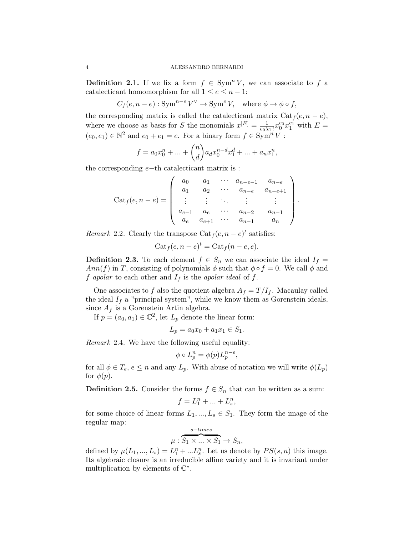**Definition 2.1.** If we fix a form  $f \in \text{Sym}^n V$ , we can associate to f a catalecticant homomorphism for all  $1 \leq e \leq n-1$ :

 $C_f(e, n-e) : \text{Sym}^{n-e} V^{\vee} \to \text{Sym}^e V, \text{ where } \phi \to \phi \circ f,$ 

the corresponding matrix is called the catalecticant matrix  $Cat_f (e, n - e)$ , where we choose as basis for S the monomials  $x^{[E]} = \frac{1}{e_0!}$  $\frac{1}{e_0!e_1!}x_0^{e_0}$  $_{0}^{e_0}x_1^{e_1}$  with  $E=$  $(e_0, e_1) \in \mathbb{N}^2$  and  $e_0 + e_1 = e$ . For a binary form  $f \in \text{Sym}^n V$ :

$$
f = a_0 x_0^n + \dots + \binom{n}{d} a_d x_0^{n-d} x_1^d + \dots + a_n x_1^n,
$$

the corresponding e−th catalecticant matrix is :

$$
\text{Cat}_f(e, n-e) = \left( \begin{array}{cccc} a_0 & a_1 & \cdots & a_{n-e-1} & a_{n-e} \\ a_1 & a_2 & \cdots & a_{n-e} & a_{n-e+1} \\ \vdots & \vdots & \ddots & \vdots & \vdots \\ a_{e-1} & a_e & \cdots & a_{n-2} & a_{n-1} \\ a_e & a_{e+1} & \cdots & a_{n-1} & a_n \end{array} \right).
$$

*Remark* 2.2. Clearly the transpose  $Cat_f(e, n - e)^t$  satisfies:

$$
Cat_f(e, n - e)t = Cat_f(n - e, e).
$$

**Definition 2.3.** To each element  $f \in S_n$  we can associate the ideal  $I_f =$ Ann(f) in T, consisting of polynomials  $\phi$  such that  $\phi \circ f = 0$ . We call  $\phi$  and f *apolar* to each other and  $I_f$  is the *apolar ideal* of f.

One associates to f also the quotient algebra  $A_f = T/I_f$ . Macaulay called the ideal  $I_f$  a "principal system", while we know them as Gorenstein ideals, since  $A_f$  is a Gorenstein Artin algebra.

If  $p = (a_0, a_1) \in \mathbb{C}^2$ , let  $L_p$  denote the linear form:

$$
L_p = a_0 x_0 + a_1 x_1 \in S_1.
$$

*Remark* 2.4*.* We have the following useful equality:

$$
\phi \circ L_p^n = \phi(p)L_p^{n-e},
$$

for all  $\phi \in T_e$ ,  $e \leq n$  and any  $L_p$ . With abuse of notation we will write  $\phi(L_p)$ for  $\phi(p)$ .

**Definition 2.5.** Consider the forms  $f \in S_n$  that can be written as a sum:

$$
f = L_1^n + \dots + L_s^n,
$$

for some choice of linear forms  $L_1, ..., L_s \in S_1$ . They form the image of the regular map:

$$
\mu: \overbrace{S_1 \times \ldots \times S_1}^{s-times} \to S_n,
$$

defined by  $\mu(L_1, ..., L_s) = L_1^n + ... L_s^n$ . Let us denote by  $PS(s, n)$  this image. Its algebraic closure is an irreducible affine variety and it is invariant under multiplication by elements of  $\mathbb{C}^*$ .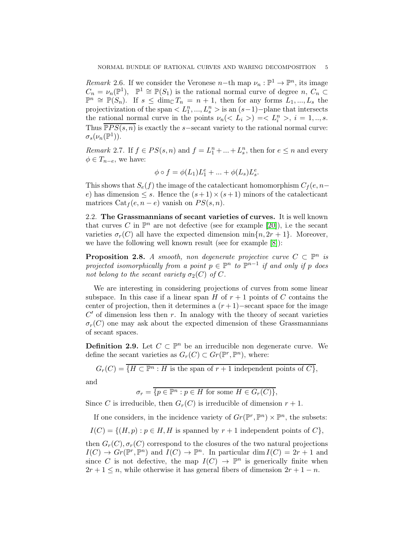<span id="page-4-0"></span>*Remark* 2.6. If we consider the Veronese  $n$ -th map  $\nu_n : \mathbb{P}^1 \to \mathbb{P}^n$ , its image  $C_n = \nu_n(\mathbb{P}^1), \mathbb{P}^1 \cong \mathbb{P}(S_1)$  is the rational normal curve of degree  $n, C_n \subset$  $\mathbb{P}^n \cong \mathbb{P}(S_n)$ . If  $s \leq \dim_{\mathbb{C}} T_n = n+1$ , then for any forms  $L_1, ..., L_s$  the projectivization of the span  $\langle L_1^n, ..., L_s^n \rangle$  is an  $(s-1)$ -plane that intersects the rational normal curve in the points  $\nu_n(< L_i>) = < L_i^n >$ ,  $i = 1, ..., s$ . Thus  $\overline{PPS(s,n)}$  is exactly the s−secant variety to the rational normal curve:  $\sigma_s(\nu_n(\mathbb{P}^1)).$ 

*Remark* 2.7. If  $f \in PS(s, n)$  and  $f = L_1^n + ... + L_s^n$ , then for  $e \leq n$  and every  $\phi \in T_{n-e}$ , we have:

$$
\phi \circ f = \phi(L_1)L_1^e + \ldots + \phi(L_s)L_s^e.
$$

This shows that  $S_e(f)$  the image of the catalecticant homomorphism  $C_f(e, n-\tau)$ e) has dimension  $\leq s$ . Hence the  $(s+1) \times (s+1)$  minors of the catalecticant matrices  $Cat_f(e, n - e)$  vanish on  $PS(s, n)$ .

2.2. The Grassmannians of secant varieties of curves. It is well known that curves C in  $\mathbb{P}^n$  are not defective (see for example [\[20\]](#page-19-5)), i.e the secant varieties  $\sigma_r(C)$  all have the expected dimension min $\{n, 2r + 1\}$ . Moreover, we have the following well known result (see for example [\[8\]](#page-18-8)):

**Proposition 2.8.** *A smooth, non degenerate projective curve*  $C \subset \mathbb{P}^n$  *is projected isomorphically from a point*  $p \in \mathbb{P}^n$  to  $\mathbb{P}^{n-1}$  *if and only if* p *does not belong to the secant variety*  $\sigma_2(C)$  *of* C.

We are interesting in considering projections of curves from some linear subspace. In this case if a linear span H of  $r + 1$  points of C contains the center of projection, then it determines a  $(r+1)$ −secant space for the image  $C'$  of dimension less then  $r$ . In analogy with the theory of secant varieties  $\sigma_r(C)$  one may ask about the expected dimension of these Grassmannians of secant spaces.

**Definition 2.9.** Let  $C \subset \mathbb{P}^n$  be an irreducible non degenerate curve. We define the secant varieties as  $G_r(C) \subset Gr(\mathbb{P}^r, \mathbb{P}^n)$ , where:

$$
G_r(C) = \overline{\{H \subset \mathbb{P}^n : H \text{ is the span of } r+1 \text{ independent points of } C\}},
$$

and

 $\sigma_r = \overline{\{p \in \mathbb{P}^n : p \in H \text{ for some } H \in G_r(C)\}},$ 

Since C is irreducible, then  $G_r(C)$  is irreducible of dimension  $r + 1$ .

If one considers, in the incidence variety of  $Gr(\mathbb{P}^r, \mathbb{P}^n) \times \mathbb{P}^n$ , the subsets:  $I(C) = \{(H, p) : p \in H, H \text{ is spanned by } r+1 \text{ independent points of } C\},\$ 

then  $G_r(C), \sigma_r(C)$  correspond to the closures of the two natural projections  $I(C) \to Gr(\mathbb{P}^r, \mathbb{P}^n)$  and  $I(C) \to \mathbb{P}^n$ . In particular dim  $I(C) = 2r + 1$  and since C is not defective, the map  $I(C) \to \mathbb{P}^n$  is generically finite when  $2r + 1 \leq n$ , while otherwise it has general fibers of dimension  $2r + 1 - n$ .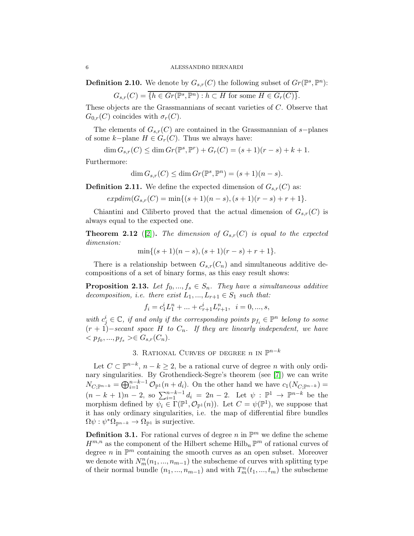**Definition 2.10.** We denote by  $G_{s,r}(C)$  the following subset of  $Gr(\mathbb{P}^s, \mathbb{P}^n)$ :

$$
G_{s,r}(C) = \overline{\{h \in Gr(\mathbb{P}^s, \mathbb{P}^n) : h \subset H \text{ for some } H \in G_r(C)\}}.
$$

These objects are the Grassmannians of secant varieties of C. Observe that  $G_{0,r}(C)$  coincides with  $\sigma_r(C)$ .

The elements of  $G_{s,r}(C)$  are contained in the Grassmannian of s−planes of some  $k$ −plane  $H \in G_r(C)$ . Thus we always have:

$$
\dim G_{s,r}(C) \le \dim Gr(\mathbb{P}^s, \mathbb{P}^r) + G_r(C) = (s+1)(r-s) + k + 1.
$$

Furthermore:

$$
\dim G_{s,r}(C) \le \dim Gr(\mathbb{P}^s, \mathbb{P}^n) = (s+1)(n-s).
$$

**Definition 2.11.** We define the expected dimension of  $G_{s,r}(C)$  as:

 $exp\dim(G_{s,r}(C) = \min\{(s+1)(n-s), (s+1)(r-s)+r+1\}.$ 

Chiantini and Ciliberto proved that the actual dimension of  $G_{s,r}(C)$  is always equal to the expected one.

<span id="page-5-0"></span>**Theorem 2.12** ([\[2\]](#page-18-9)). The dimension of  $G_{s,r}(C)$  is equal to the expected *dimension:*

$$
\min\{(s+1)(n-s), (s+1)(r-s)+r+1\}.
$$

There is a relationship between  $G_{s,r}(C_n)$  and simultaneous additive decompositions of a set of binary forms, as this easy result shows:

<span id="page-5-1"></span>**Proposition 2.13.** Let  $f_0, ..., f_s \in S_n$ . They have a simultaneous additive *decomposition, i.e. there exist*  $L_1, ..., L_{r+1} \in S_1$  *such that:* 

$$
f_i = c_1^i L_1^n + \ldots + c_{r+1}^i L_{r+1}^n, \ \ i=0,...,s,
$$

with  $c_j^i \in \mathbb{C}$ , if and only if the corresponding points  $p_{f_i} \in \mathbb{P}^n$  belong to some (r + 1)−*secant space* H *to* Cn*. If they are linearly independent, we have*  $\langle p_{f_0},...,p_{f_s}\rangle \in G_{s,r}(C_n).$ 

# 3. RATIONAL CURVES OF DEGREE  $n$  in  $\mathbb{P}^{n-k}$

Let  $C \subset \mathbb{P}^{n-k}$ ,  $n - k \geq 2$ , be a rational curve of degree n with only ordinary singularities. By Grothendieck-Segre's theorem (see [\[7\]](#page-18-10)) we can write  $N_{C;\mathbb{P}^{n-k}} = \bigoplus_{i=1}^{n-k-1} \mathcal{O}_{\mathbb{P}^1}(n+d_i)$ . On the other hand we have  $c_1(N_{C;\mathbb{P}^{n-k}})$  $(n-k+1)n-2$ , so  $\sum_{i=1}^{n-k-1} d_i = 2n-2$ . Let  $\psi : \mathbb{P}^1 \to \mathbb{P}^{n-k}$  be the morphism defined by  $\psi_i \in \Gamma(\mathbb{P}^1, \mathcal{O}_{\mathbb{P}^1}(n))$ . Let  $C = \psi(\mathbb{P}^1)$ , we suppose that it has only ordinary singularities, i.e. the map of differential fibre bundles  $\Omega \psi : \psi^* \Omega_{\mathbb{P}^{n-k}} \to \Omega_{\mathbb{P}^1}$  is surjective.

**Definition 3.1.** For rational curves of degree n in  $\mathbb{P}^m$  we define the scheme  $H^{m,n}$  as the component of the Hilbert scheme  $\text{Hilb}_n \mathbb{P}^m$  of rational curves of degree  $n$  in  $\mathbb{P}^m$  containing the smooth curves as an open subset. Moreover we denote with  $N_m^n(n_1, ..., n_{m-1})$  the subscheme of curves with splitting type of their normal bundle  $(n_1, ..., n_{m-1})$  and with  $T_m^n(t_1, ..., t_m)$  the subscheme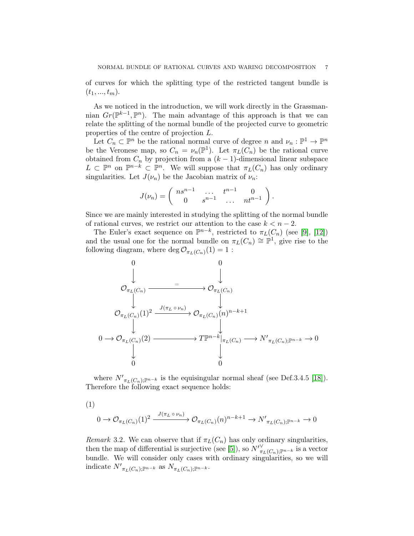of curves for which the splitting type of the restricted tangent bundle is  $(t_1, ..., t_m)$ .

As we noticed in the introduction, we will work directly in the Grassmannian  $Gr(\mathbb{P}^{k-1}, \mathbb{P}^n)$ . The main advantage of this approach is that we can relate the splitting of the normal bundle of the projected curve to geometric properties of the centre of projection L.

Let  $C_n \subset \mathbb{P}^n$  be the rational normal curve of degree n and  $\nu_n : \mathbb{P}^1 \to \mathbb{P}^n$ be the Veronese map, so  $C_n = \nu_n(\mathbb{P}^1)$ . Let  $\pi_L(C_n)$  be the rational curve obtained from  $C_n$  by projection from a  $(k-1)$ -dimensional linear subspace  $L \subset \mathbb{P}^n$  on  $\mathbb{P}^{n-k} \subset \mathbb{P}^n$ . We will suppose that  $\pi_L(C_n)$  has only ordinary singularities. Let  $J(\nu_n)$  be the Jacobian matrix of  $\nu_n$ :

$$
J(\nu_n)=\left(\begin{array}{cccc} ns^{n-1}&\dots&t^{n-1}&0\\0&s^{n-1}&\dots&nt^{n-1}\end{array}\right).
$$

Since we are mainly interested in studying the splitting of the normal bundle of rational curves, we restrict our attention to the case  $k < n - 2$ .

The Euler's exact sequence on  $\mathbb{P}^{n-k}$ , restricted to  $\pi_L(C_n)$  (see [\[9\]](#page-18-11), [\[12\]](#page-19-6)) and the usual one for the normal bundle on  $\pi_L(C_n) \cong \mathbb{P}^1$ , give rise to the following diagram, where  $\deg \mathcal{O}_{\pi_L(C_n)}(1) = 1$ :



where  $N'_{\pi_L(C_n);\mathbb{P}^{n-k}}$  is the equisingular normal sheaf (see Def.3.4.5 [\[18\]](#page-19-7)). Therefore the following exact sequence holds:

(1)

$$
0 \to \mathcal{O}_{\pi_L(C_n)}(1)^2 \xrightarrow{J(\pi_L \circ \nu_n)} \mathcal{O}_{\pi_L(C_n)}(n)^{n-k+1} \to N'_{\pi_L(C_n);\mathbb{P}^{n-k}} \to 0
$$

*Remark* 3.2. We can observe that if  $\pi_L(C_n)$  has only ordinary singularities, then the map of differential is surjective (see [\[5\]](#page-18-0)), so  $N'_{\pi_L(C_n);\mathbb{P}^{n-k}}$  is a vector bundle. We will consider only cases with ordinary singularities, so we will indicate  $N'_{\pi_L(C_n);\mathbb{P}^{n-k}}$  as  $N_{\pi_L(C_n);\mathbb{P}^{n-k}}$ .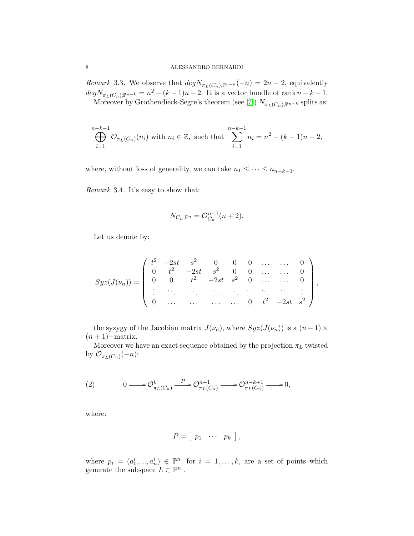*Remark* 3.3*.* We observe that  $deg N_{\pi_L(C_n);\mathbb{P}^{n-k}}(-n) = 2n - 2$ , equivalently  $degN_{\pi_L(C_n);\mathbb{P}^{n-k}} = n^2 - (k-1)n - 2$ . It is a vector bundle of rank  $n - k - 1$ . Moreover by Grothendieck-Segre's theorem (see [\[7\]](#page-18-10))  $N_{\pi_L(C_n);\mathbb{P}^{n-k}}$  splits as:

$$
\bigoplus_{i=1}^{n-k-1} \mathcal{O}_{\pi_L(C_n)}(n_i) \text{ with } n_i \in \mathbb{Z}, \text{ such that } \sum_{i=1}^{n-k-1} n_i = n^2 - (k-1)n - 2,
$$

where, without loss of generality, we can take  $n_1 \leq \cdots \leq n_{n-k-1}$ .

*Remark* 3.4*.* It's easy to show that:

$$
N_{C_n; \mathbb{P}^n} = \mathcal{O}_{C_n}^{n-1}(n+2).
$$

Let us denote by:

$$
Syz(J(\nu_n)) = \begin{pmatrix} t^2 & -2st & s^2 & 0 & 0 & 0 & \dots & \dots & 0 \\ 0 & t^2 & -2st & s^2 & 0 & 0 & \dots & \dots & 0 \\ 0 & 0 & t^2 & -2st & s^2 & 0 & \dots & \dots & 0 \\ \vdots & \vdots & \vdots & \ddots & \vdots & \ddots & \vdots & \ddots & \vdots \\ 0 & \dots & \dots & \dots & \dots & 0 & t^2 & -2st & s^2 \end{pmatrix},
$$

the syzygy of the Jacobian matrix  $J(\nu_n)$ , where  $Syz(J(\nu_n))$  is a  $(n-1) \times$  $(n + 1)$ −matrix.

Moreover we have an exact sequence obtained by the projection  $\pi_L$  twisted by  $\mathcal{O}_{\pi_L(C_n)}(-n)$ :

$$
(2) \t\t 0 \longrightarrow \mathcal{O}_{\pi_L(C_n)}^k \xrightarrow{P} \mathcal{O}_{\pi_L(C_n)}^{n+1} \longrightarrow \mathcal{O}_{\pi_L(C_n)}^{n-k+1} \longrightarrow 0,
$$

where:

$$
P = [p_1 \cdots p_k],
$$

where  $p_i = (a_0^i, ..., a_n^i) \in \mathbb{P}^n$ , for  $i = 1, ..., k$ , are a set of points which generate the subspace  $L \subset \mathbb{P}^n$ .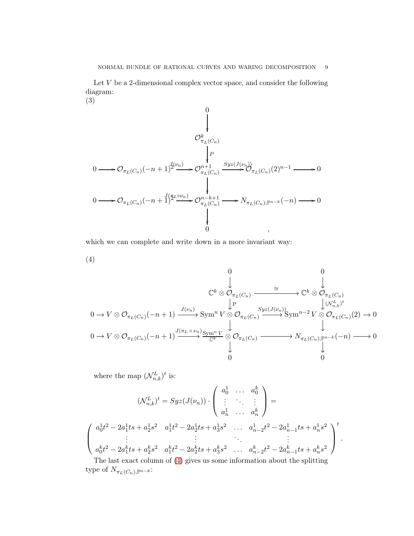Let  $V$  be a 2-dimensional complex vector space, and consider the following diagram: (3)

$$
\begin{array}{ccc}\n & 0 & & \\
 & & \downarrow & \\
 & & \downarrow & \\
0 & \longrightarrow \mathcal{O}_{\pi_L(C_n)}(-n+1)^{\mathcal{U}(\nu_n)} & & \\
 & & \downarrow & \\
0 & \longrightarrow \mathcal{O}_{\pi_L(C_n)}(-n+1)^{\mathcal{U}(\nu_n)} & & \downarrow & \\
 & & \downarrow & & \downarrow & \\
0 & \longrightarrow \mathcal{O}_{\pi_L(C_n)}(-n+1)^{\mathcal{U}(\nu_n)} & & \downarrow & \\
 & & \downarrow & & \downarrow & \\
 & & \downarrow & & \downarrow & \\
 & & \downarrow & & \downarrow & \\
 & & \downarrow & & \downarrow & \\
 & & \downarrow & & \downarrow & \\
 & & \downarrow & & \downarrow & \\
 & & \downarrow & & \downarrow & \\
 & & \downarrow & & \downarrow & \\
 & & \downarrow & & \downarrow & \\
 & & \downarrow & & \downarrow & \\
 & & \downarrow & & \downarrow & \\
 & & \downarrow & & \downarrow & \\
 & & \downarrow & & \downarrow & \\
 & & \downarrow & & \downarrow & \\
 & & \downarrow & & \downarrow & \\
 & & \downarrow & & \downarrow & \\
 & & \downarrow & & \downarrow & \\
 & & \downarrow & & \downarrow & \\
 & & \downarrow & & \downarrow & \\
 & & \downarrow & & \downarrow & \\
 & & \downarrow & & \downarrow & \\
 & & \downarrow & & \downarrow & \\
 & & \downarrow & & \downarrow & \\
 & & \downarrow & & \downarrow & \downarrow & \\
 & & \downarrow & &
$$

which we can complete and write down in a more invariant way:

(4)

$$
\begin{array}{ccccccc}\n & & & & & 0 & & & 0 & & \\
 & & & & & & \downarrow & & & \downarrow & & \\
 & & & & & & \downarrow & & & \downarrow & & \\
0 & \to V \otimes \mathcal{O}_{\pi_L(C_n)}(-n+1) & \xrightarrow{J(\nu_n)} \text{Sym}^n V \otimes \mathcal{O}_{\pi_L(C_n)} & \xrightarrow{Syz(J(\nu_n))} \text{Sym}^{n-2} V \otimes \mathcal{O}_{\pi_L(C_n)}(2) \to 0 \\
 & & & & \downarrow & & \downarrow & \\
0 & \to V \otimes \mathcal{O}_{\pi_L(C_n)}(-n+1) & \xrightarrow{J(\pi_L \circ \nu_n)} \text{Sym}^n V \otimes \mathcal{O}_{\pi_L(C_n)} & \xrightarrow{Syz(J(\nu_n))} \text{Sym}^{n-2} V \otimes \mathcal{O}_{\pi_L(C_n)}(2) \to 0 \\
 & & & \downarrow & & \downarrow & & \\
0 & & & & \downarrow & & \\
0 & & & & & \downarrow & & \\
0 & & & & & 0 & & \\
\end{array}
$$

<span id="page-8-0"></span>where the map  $(\mathcal{N}_{n,k}^L)^t$  is:

$$
(\mathcal{N}_{n,k}^{L})^{t} = Syz(J(\nu_{n})) \cdot \begin{pmatrix} a_{0}^{1} & \cdots & a_{0}^{k} \\ \vdots & \ddots & \vdots \\ a_{n}^{1} & \cdots & a_{n}^{k} \end{pmatrix} =
$$
  

$$
\begin{pmatrix} a_{0}^{1}t^{2} - 2a_{1}^{1}ts + a_{2}^{1}s^{2} & a_{1}^{1}t^{2} - 2a_{2}^{1}ts + a_{3}^{1}s^{2} & \cdots & a_{n-2}^{1}t^{2} - 2a_{n-1}^{1}ts + a_{n}^{1}s^{2} \\ \vdots & \vdots & \ddots & \vdots \\ a_{0}^{k}t^{2} - 2a_{1}^{k}ts + a_{2}^{k}s^{2} & a_{1}^{k}t^{2} - 2a_{2}^{k}ts + a_{3}^{k}s^{2} & \cdots & a_{n-2}^{k}t^{2} - 2a_{n-1}^{k}ts + a_{n}^{k}s^{2} \end{pmatrix}^{t}
$$

The last exact column of [\(4\)](#page-8-0) gives us some information about the splitting type of  $N_{\pi_L(C_n), \mathbb{P}^{n-k}}\cdot$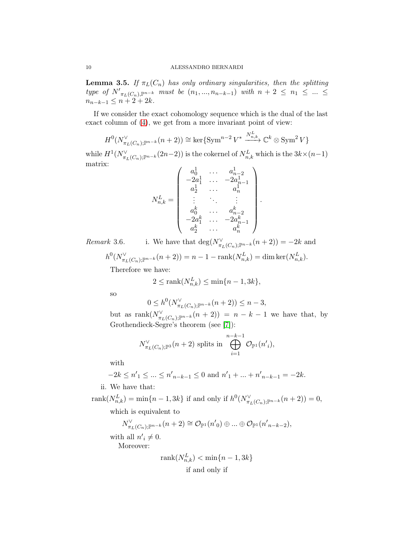<span id="page-9-0"></span>**Lemma 3.5.** *If*  $\pi_L(C_n)$  *has only ordinary singularities, then the splitting type of*  $N'_{\pi_L(C_n), \mathbb{P}^{n-k}}$  *must be*  $(n_1, ..., n_{n-k-1})$  *with*  $n + 2 \leq n_1 \leq ... \leq n_k$  $n_{n-k-1} \leq n+2+2k$ .

If we consider the exact cohomology sequence which is the dual of the last exact column of [\(4\)](#page-8-0), we get from a more invariant point of view:

$$
H^{0}(N_{\pi_{L}(C_{n});\mathbb{P}^{n-k}}^{V}(n+2)) \cong \ker\{\operatorname{Sym}^{n-2}V^{*} \xrightarrow{N_{n,k}^{L}} \mathbb{C}^{k} \otimes \operatorname{Sym}^{2}V\}
$$

 $\overline{a}$ 

.

while  $H^1(N^{\vee}_{\pi_L(C_n);\mathbb{P}^{n-k}}(2n-2))$  is the cokernel of  $N^L_{n,k}$  which is the  $3k\times (n-1)$ matrix:

$$
N_{n,k}^L = \left(\begin{array}{cccc} a_0^1 & \ldots & a_{n-2}^1 \\ -2a_1^1 & \ldots & -2a_{n-1}^1 \\ a_2^1 & \ldots & a_n^1 \\ \vdots & \ddots & \vdots \\ a_0^k & \ldots & a_{n-2}^k \\ -2a_1^k & \ldots & -2a_{n-1}^k \\ a_2^k & \ldots & a_n^k \end{array}\right)
$$

*Remark* 3.6. i. We have that  $\deg(N^{\vee}_{\pi_L(C_n);\mathbb{P}^{n-k}}(n+2)) = -2k$  and

 $h^0(N^{\vee}_{\pi_L(C_n);\mathbb{P}^{n-k}}(n+2)) = n-1 - \text{rank}(N^L_{n,k}) = \dim \text{ker}(N^L_{n,k}).$ 

Therefore we have:

$$
2 \le \operatorname{rank}(N_{n,k}^L) \le \min\{n-1, 3k\},\
$$

so

$$
0 \le h^0(N_{\pi_L(C_n);\mathbb{P}^{n-k}}^{\vee}(n+2)) \le n-3,
$$

but as  $\operatorname{rank}(N^{\vee}_{\pi_L(C_n);\mathbb{P}^{n-k}}(n+2)) = n-k-1$  we have that, by Grothendieck-Segre's theorem (see [\[7\]](#page-18-10)):

$$
N_{\pi_L(C_n);\mathbb{P}^3}^{\vee}(n+2) \text{ splits in } \bigoplus_{i=1}^{n-k-1} \mathcal{O}_{\mathbb{P}^1}(n_i'),
$$

with

$$
-2k \le n'_{1} \le \dots \le n'_{n-k-1} \le 0 \text{ and } n'_{1} + \dots + n'_{n-k-1} = -2k.
$$

ii. We have that:

 $rank(N_{n,k}^L) = min\{n-1, 3k\}$  if and only if  $h^0(N_{\pi_L(C_n);\mathbb{P}^{n-k}}^{\vee}(n+2)) = 0,$ 

which is equivalent to

$$
N^\vee_{\pi_L(C_n);\mathbb P^{n-k}}(n+2)\cong\mathcal O_{\mathbb P^1}(n'_{\ 0})\oplus...\oplus\mathcal O_{\mathbb P^1}(n'_{\ n-k-2}),
$$

with all  $n'_i \neq 0$ . Moreover:

$$
rank(N_{n,k}^L) < \min\{n-1, 3k\}
$$
  
if and only if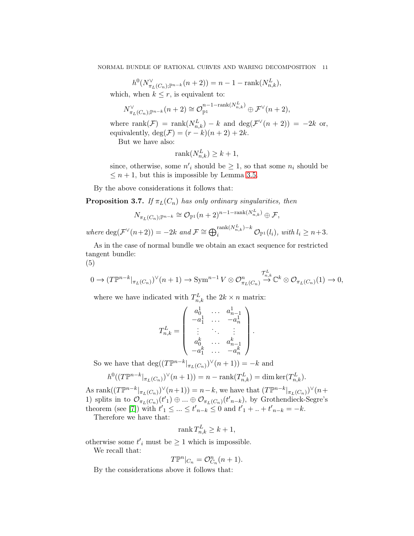$$
h^0(N^{\vee}_{\pi_L(C_n);\mathbb{P}^{n-k}}(n+2)) = n-1 - \operatorname{rank}(N^L_{n,k}),
$$

which, when  $k \leq r$ , is equivalent to:

$$
N^{\vee}_{\pi_L(C_n);\mathbb{P}^{n-k}}(n+2)\cong \mathcal{O}_{\mathbb{P}^1}^{n-1-{\mathrm{rank}}(N^L_{n,k})}\oplus \mathcal{F}^{\vee}(n+2),
$$

where  $\text{rank}(\mathcal{F}) = \text{rank}(N_{n,k}^L) - k$  and  $\text{deg}(\mathcal{F}^{\vee}(n+2)) = -2k$  or, equivalently, deg( $\mathcal{F}$ ) =  $(r-k)(n+2) + 2k$ .

But we have also:

$$
rank(N_{n,k}^L) \ge k+1,
$$

since, otherwise, some  $n'_i$  should be  $\geq 1$ , so that some  $n_i$  should be  $\leq n+1$ , but this is impossible by Lemma [3.5.](#page-9-0)

By the above considerations it follows that:

<span id="page-10-0"></span>**Proposition 3.7.** *If*  $\pi_L(C_n)$  *has only ordinary singularities, then* 

$$
N_{\pi_L(C_n);\mathbb{P}^{n-k}} \cong \mathcal{O}_{\mathbb{P}^1}(n+2)^{n-1-{\mathrm{rank}}(N_{n,k}^L)} \oplus \mathcal{F},
$$

 $where \deg(\mathcal{F}^{\vee}(n+2)) = -2k \text{ and } \mathcal{F} \cong \bigoplus_{i}^{\text{rank}(N_{n,k}^{L})-k} \mathcal{O}_{\mathbb{P}^{1}}(l_{i}), \text{ with } l_{i} \geq n+3.$ 

As in the case of normal bundle we obtain an exact sequence for restricted tangent bundle: (5)

$$
0 \to (T\mathbb{P}^{n-k}|_{\pi_L(C_n)})^{\vee}(n+1) \to \text{Sym}^{n-1}V \otimes \mathcal{O}_{\pi_L(C_n)}^n \overset{\mathcal{T}_{n,k}^L}{\to} \mathbb{C}^k \otimes \mathcal{O}_{\pi_L(C_n)}(1) \to 0,
$$

where we have indicated with  $T_{n,k}^L$  the  $2k \times n$  matrix:

$$
T_{n,k}^L = \left(\begin{array}{cccc} a_0^1 & \ldots & a_{n-1}^1 \\ -a_1^1 & \ldots & -a_n^1 \\ \vdots & \ddots & \vdots \\ a_0^k & \ldots & a_{n-1}^k \\ -a_1^k & \ldots & -a_n^k \end{array}\right).
$$

So we have that  $\deg((T\mathbb{P}^{n-k}|_{\pi_L(C_n)})^{\vee}(n+1)) = -k$  and

$$
h^0((T\mathbb{P}^{n-k}|_{\pi_L(C_n)})^{\vee}(n+1)) = n - \operatorname{rank}(T_{n,k}^L) = \dim \ker(T_{n,k}^L).
$$

As rank $((T\mathbb{P}^{n-k}|_{\pi_L(C_n)})^{\vee}(n+1)) = n-k$ , we have that  $(T\mathbb{P}^{n-k}|_{\pi_L(C_n)})^{\vee}(n+1)$ 1) splits in to  $\mathcal{O}_{\pi_L(C_n)}(t_1') \oplus ... \oplus \mathcal{O}_{\pi_L(C_n)}(t_{n-k})$ , by Grothendieck-Segre's theorem (see [\[7\]](#page-18-10)) with  $t'_{1} \leq ... \leq t'_{n-k} \leq 0$  and  $t'_{1} + ... + t'_{n-k} = -k$ .

Therefore we have that:

$$
\operatorname{rank} T_{n,k}^L \ge k+1,
$$

otherwise some  $t'$ <sub>i</sub> must be  $\geq 1$  which is impossible.

We recall that:

$$
T\mathbb{P}^n|_{C_n} = \mathcal{O}_{C_n}^n(n+1).
$$

By the considerations above it follows that: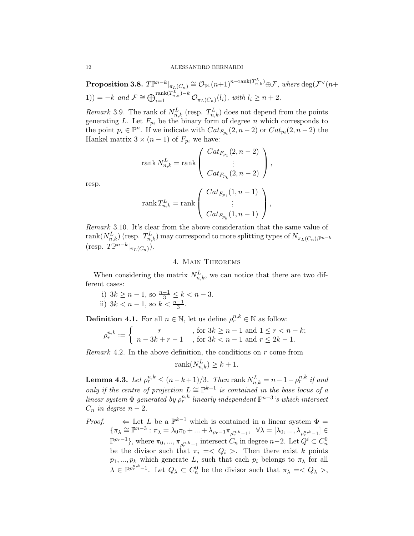$\textbf{Proposition 3.8.} \; T\mathbb{P}^{n-k}|_{\pi_L(C_n)} \cong \mathcal{O}_{\mathbb{P}^1}(n+1)^{n-{\rm {rank}}(T^L_{n,k})}\oplus \mathcal{F}, \textit{where} \; \text{deg}(\mathcal{F}^{\vee}(n+1))$ 1)) =  $-k$  and  $\mathcal{F} \cong \bigoplus_{i=1}^{\text{rank}(T_{n,k}^{L})-k} \mathcal{O}_{\pi_{L}(C_{n})}(l_{i}),$  with  $l_{i} \geq n+2$ .

*Remark* 3.9. The rank of  $N_{n,k}^L$  (resp.  $T_{n,k}^L$ ) does not depend from the points generating L. Let  $F_{p_i}$  be the binary form of degree n which corresponds to the point  $p_i \in \mathbb{P}^n$ . If we indicate with  $Cat_{F_{p_i}}(2, n-2)$  or  $Cat_{p_i}(2, n-2)$  the Hankel matrix  $3 \times (n-1)$  of  $F_{p_i}$  we have:

$$
\operatorname{rank} N_{n,k}^L = \operatorname{rank} \left( \begin{array}{c} Cat_{F_{p_1}}(2, n-2) \\ \vdots \\ Cat_{F_{p_k}}(2, n-2) \end{array} \right),
$$

$$
\operatorname{rank} T_{n,k}^L = \operatorname{rank} \left( \begin{array}{c} Cat_{F_{p_1}}(1, n-1) \\ \vdots \\ Cat_{F_{p_k}}(1, n-1) \end{array} \right),
$$

*Remark* 3.10*.* It's clear from the above consideration that the same value of  $\text{rank}(N_{n,k}^L)$  (resp.  $T_{n,k}^L$ ) may correspond to more splitting types of  $N_{\pi_L(C_n);\mathbb{P}^{n-k}}$ (resp.  $T\mathbb{P}^{n-k}|_{\pi_L(C_n)}$ ).

## 4. Main Theorems

When considering the matrix  $N_{n,k}^L$ , we can notice that there are two different cases:

i)  $3k \geq n-1$ , so  $\frac{n-1}{3} \leq k < n-3$ . ii)  $3k < n - 1$ , so  $k < \frac{n-1}{3}$ .

**Definition 4.1.** For all  $n \in \mathbb{N}$ , let us define  $\rho_r^{n,k} \in \mathbb{N}$  as follow:

$$
\rho_r^{n,k} := \begin{cases} r & , \text{ for } 3k \ge n-1 \text{ and } 1 \le r < n-k; \\ n-3k+r-1 & , \text{ for } 3k < n-1 \text{ and } r \le 2k-1. \end{cases}
$$

*Remark* 4.2*.* In the above definition, the conditions on r come from

$$
rank(N_{n,k}^L) \ge k+1.
$$

**Lemma 4.3.** Let  $\rho_r^{n,k} \leq (n-k+1)/3$ . Then  $\operatorname{rank} N_{n,k}^L = n-1-\rho_r^{n,k}$  if and *only if the centre of projection*  $L \cong \mathbb{P}^{k-1}$  *is contained in the base locus of a linear system*  $\Phi$  *generated by*  $\rho_r^{n,k}$  *linearly independent*  $\mathbb{P}^{n-3}$ *'s which intersect*  $C_n$  *in degree*  $n-2$ .

*Proof.*  $\leftarrow$  Let L be a  $\mathbb{P}^{k-1}$  which is contained in a linear system  $\Phi =$  $\{\pi_{\lambda}\cong\mathbb{P}^{n-3}:\pi_{\lambda}=\lambda_0\pi_0+\ldots+\lambda_{\rho_r-1}\pi_{\rho_r^{n,k}-1},\;\;\forall \lambda=[\lambda_0,...,\lambda_{\rho_r^{n,k}-1}]\in$  $\mathbb{P}^{\rho_r-1}$ , where  $\pi_0, ..., \pi_{\rho_r^{n,k}-1}$  intersect  $C_n$  in degree  $n-2$ . Let  $Q^i \subset C_n^0$ be the divisor such that  $\pi_i = \langle Q_i \rangle$ . Then there exist k points  $p_1, ..., p_k$  which generate L, such that each  $p_i$  belongs to  $\pi_\lambda$  for all  $\lambda \in \mathbb{P}^{\rho_r^{n,k}-1}$ . Let  $Q_\lambda \subset C_n^0$  be the divisor such that  $\pi_\lambda =$ ,

resp.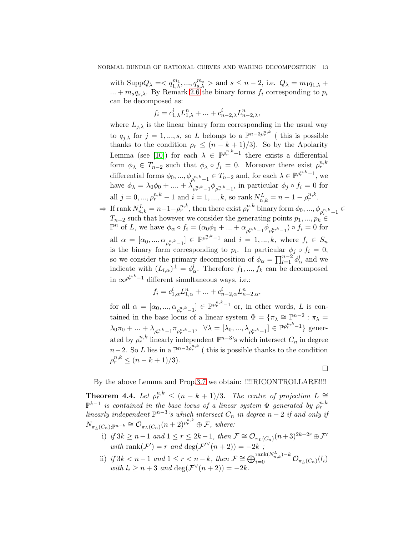with  $\text{Supp}Q_{\lambda} = \langle q_{1,\lambda}^{m_1}, ..., q_{s,\lambda}^{m_s} \rangle$  and  $s \leq n-2$ , i.e.  $Q_{\lambda} = m_1 q_{1,\lambda} +$ ... +  $m_s q_{s,\lambda}$ . By Remark [2.6](#page-4-0) the binary forms  $f_i$  corresponding to  $p_i$ can be decomposed as:

$$
f_i = c_{1,\lambda}^i L_{1,\lambda}^n + \ldots + c_{n-2,\lambda}^i L_{n-2,\lambda}^n,
$$

where  $L_{j,\lambda}$  is the linear binary form corresponding in the usual way to  $q_{j,\lambda}$  for  $j = 1, ..., s$ , so L belongs to a  $\mathbb{P}^{n-3\rho_r^{n,k}}$  (this is possible thanks to the condition  $\rho_r \leq (n - k + 1)/3$ ). So by the Apolarity Lemma (see [\[10\]](#page-18-7)) for each  $\lambda \in \mathbb{P}^{\rho_r^{n,k}-1}$  there exists a differential form  $\phi_{\lambda} \in T_{n-2}$  such that  $\phi_{\lambda} \circ f_i = 0$ . Moreover there exist  $\rho_r^{n,k}$ differential forms  $\phi_0, ..., \phi_{\rho_r^{n,k}-1} \in T_{n-2}$  and, for each  $\lambda \in \mathbb{P}^{\rho_r^{n,k}-1}$ , we have  $\phi_{\lambda} = \lambda_0 \phi_0 + \dots + \lambda_{\rho_r^{n,k} - 1} \phi_{\rho_r^{n,k} - 1}$ , in particular  $\phi_j \circ f_i = 0$  for all  $j = 0, ..., \rho_r^{n,k} - 1$  and  $i = 1, ..., k$ , so rank  $N_{n,k}^L = n - 1 - \rho_r^{n,k}$ .

 $\Rightarrow$  If rank  $N_{n,k}^L = n-1-\rho_r^{n,k}$ , then there exist  $\rho_r^{n,k}$  binary form  $\phi_0, ..., \phi_{\rho_r^{n,k}-1} \in$  $T_{n-2}$  such that however we consider the generating points  $p_1, ..., p_k \in$  $\mathbb{P}^n$  of L, we have  $\phi_\alpha \circ f_i = (\alpha_0 \phi_0 + \dots + \alpha_{\rho_r^{n,k} - 1} \phi_{\rho_r^{n,k} - 1}) \circ f_i = 0$  for all  $\alpha = [\alpha_0, ..., \alpha_{\rho_r^{n,k}-1}] \in \mathbb{P}^{\rho_r^{n,k}-1}$  and  $i = 1, ..., k$ , where  $f_i \in S_n$ is the binary form corresponding to  $p_i$ . In particular  $\phi_j \circ f_i = 0$ , so we consider the primary decomposition of  $\phi_{\alpha} = \prod_{l=1}^{n-2} \phi_{\alpha}^{l}$  and we indicate with  $(L_{l,\alpha})^{\perp} = \phi_{\alpha}^{l}$ . Therefore  $f_1, ..., f_k$  can be decomposed in  $\infty^{\rho_r^{n,k}-1}$  different simultaneous ways, i.e.:

$$
f_i = c_{1,\alpha}^i L_{1,\alpha}^n + \dots + c_{n-2,\alpha}^i L_{n-2,\alpha}^n,
$$

for all  $\alpha = [\alpha_0, ..., \alpha_{\rho_r^{n,k}-1}] \in \mathbb{P}^{\rho_r^{n,k}-1}$  or, in other words, L is contained in the base locus of a linear system  $\Phi = {\pi_\lambda \cong \mathbb{P}^{n-2} : \pi_\lambda =$  $\lambda_0 \pi_0 + \ldots + \lambda_{\rho_r^{n,k} - 1} \pi_{\rho_r^{n,k} - 1}, \quad \forall \lambda = [\lambda_0, ..., \lambda_{\rho_r^{n,k} - 1}] \in \mathbb{P}^{\rho_r^{n,k} - 1}$  generated by  $\rho_r^{n,k}$  linearly independent  $\mathbb{P}^{n-3}$ 's which intersect  $C_n$  in degree  $n-2$ . So L lies in a  $\mathbb{P}^{n-3\rho_r^{n,k}}$  (this is possible thanks to the condition  $\rho_r^{n,k} \le (n-k+1)/3$ .

 $\Box$ 

By the above Lemma and Prop[.3.7](#page-10-0) we obtain: !!!!RICONTROLLARE!!!!

<span id="page-12-0"></span>**Theorem 4.4.** Let  $\rho_r^{n,k} \leq (n-k+1)/3$ . The centre of projection  $L \cong$  $\mathbb{P}^{k-1}$  is contained in the base locus of a linear system  $\Phi$  generated by  $\rho_r^{n,k}$ *linearly independent*  $\mathbb{P}^{n-3}$ 's which intersect  $C_n$  in degree  $n-2$  if and only if  $N_{\pi_L(C_n);\mathbb{P}^{n-k}} \cong \mathcal{O}_{\pi_L(C_n)}(n+2)^{\rho_r^{n,k}} \oplus \mathcal{F}$ , where:

- i) *if*  $3k \geq n-1$  and  $1 \leq r \leq 2k-1$ , then  $\mathcal{F} \cong \mathcal{O}_{\pi_L(C_n)}(n+3)^{2k-2r} \oplus \mathcal{F}'$ with rank $(\mathcal{F}') = r$  and deg $(\mathcal{F}'^{\vee}(n+2)) = -2k$ ;
- ii) *if*  $3k < n-1$  and  $1 \leq r < n-k$ , then  $\mathcal{F} \cong \bigoplus_{i=0}^{\text{rank}(N_{n,k}^L)-k} \mathcal{O}_{\pi_L(C_n)}(l_i)$ *with*  $l_i \geq n+3$  *and* deg( $\mathcal{F}^{\vee}(n+2)$ ) = -2k.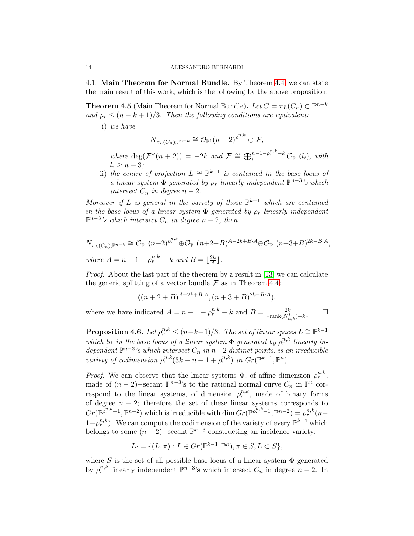4.1. Main Theorem for Normal Bundle. By Theorem [4.4,](#page-12-0) we can state the main result of this work, which is the following by the above proposition:

<span id="page-13-0"></span>**Theorem 4.5** (Main Theorem for Normal Bundle). *Let*  $C = \pi_L(C_n) \subset \mathbb{P}^{n-k}$ *and*  $\rho_r \leq (n - k + 1)/3$ *. Then the following conditions are equivalent:* 

i) *we have*

$$
N_{\pi_L(C_n);\mathbb{P}^{n-k}}\cong \mathcal{O}_{\mathbb{P}^1}(n+2)^{\rho_r^{n,k}}\oplus \mathcal{F},
$$

*where*  $deg(\mathcal{F}^{\vee}(n+2)) = -2k$  *and*  $\mathcal{F} \cong \bigoplus_{i=1}^{n-1-\rho_{r}^{n,k}-k} \mathcal{O}_{\mathbb{P}^{1}}(l_{i}),$  *with*  $l_i \geq n+3;$ 

ii) *the centre of projection*  $L \cong \mathbb{P}^{k-1}$  *is contained in the base locus of a linear system*  $\Phi$  *generated by*  $\rho_r$  *linearly independent*  $\mathbb{P}^{n-3}$ 's *which intersect*  $C_n$  *in degree*  $n-2$ *.* 

*Moreover if* L *is general in the variety of those*  $\mathbb{P}^{k-1}$  *which are contained in the base locus of a linear system*  $\Phi$  *generated by*  $\rho_r$  *linearly independent*  $\mathbb{P}^{n-3}$ 's which intersect  $C_n$  in degree  $n-2$ , then

$$
N_{\pi_L(C_n);\mathbb{P}^{n-k}} \cong \mathcal{O}_{\mathbb{P}^1}(n+2)^{\rho_r^{n,k}} \oplus \mathcal{O}_{\mathbb{P}^1}(n+2+B)^{A-2k+B\cdot A} \oplus \mathcal{O}_{\mathbb{P}^1}(n+3+B)^{2k-B\cdot A},
$$
  
where  $A = n - 1 - \rho_r^{n,k} - k$  and  $B = \lfloor \frac{2k}{A} \rfloor$ .

*Proof.* About the last part of the theorem by a result in [\[13\]](#page-19-8) we can calculate the generic splitting of a vector bundle  $\mathcal F$  as in Theorem [4.4:](#page-12-0)

$$
((n+2+B)^{A-2k+B\cdot A}, (n+3+B)^{2k-B\cdot A}).
$$

where we have indicated  $A = n - 1 - \rho_r^{n,k} - k$  and  $B = \lfloor \frac{2k}{\text{rank}(N_{n,k}^L) - k} \rfloor$ .  $\Box$ 

<span id="page-13-1"></span>**Proposition 4.6.** Let  $\rho_r^{n,k} \leq (n-k+1)/3$ . The set of linear spaces  $L \cong \mathbb{P}^{k-1}$ which lie in the base locus of a linear system  $\Phi$  generated by  $\rho_r^{n,k}$  linearly in*dependent*  $\mathbb{P}^{n-3}$ 's which intersect  $C_n$  in  $n-2$  *distinct points, is an irreducible variety of codimension*  $\rho_r^{n,k} (3k - n + 1 + \rho_r^{n,k})$  *in*  $Gr(\mathbb{P}^{k-1}, \mathbb{P}^n)$ *.* 

*Proof.* We can observe that the linear systems  $\Phi$ , of affine dimension  $\rho_r^{n,k}$ , made of  $(n-2)$ -secant  $\mathbb{P}^{n-3}$ 's to the rational normal curve  $C_n$  in  $\mathbb{P}^n$  correspond to the linear systems, of dimension  $\rho_r^{n,k}$ , made of binary forms of degree  $n - 2$ ; therefore the set of these linear systems corresponds to  $Gr(\mathbb{P}^{\rho_r^{n,k}-1}, \mathbb{P}^{n-2})$  which is irreducible with  $\dim Gr(\mathbb{P}^{\rho_r^{n,k}-1}, \mathbb{P}^{n-2}) = \rho_r^{n,k}(n-1)$  $1-\rho_r^{n,k}$ ). We can compute the codimension of the variety of every  $\mathbb{P}^{k-1}$  which belongs to some  $(n-2)$ -secant  $\mathbb{P}^{n-3}$  constructing an incidence variety:

$$
I_S = \{ (L, \pi) : L \in Gr(\mathbb{P}^{k-1}, \mathbb{P}^n), \pi \in S, L \subset S \},\
$$

where S is the set of all possible base locus of a linear system  $\Phi$  generated by  $\rho_r^{n,k}$  linearly independent  $\mathbb{P}^{n-3}$ 's which intersect  $C_n$  in degree  $n-2$ . In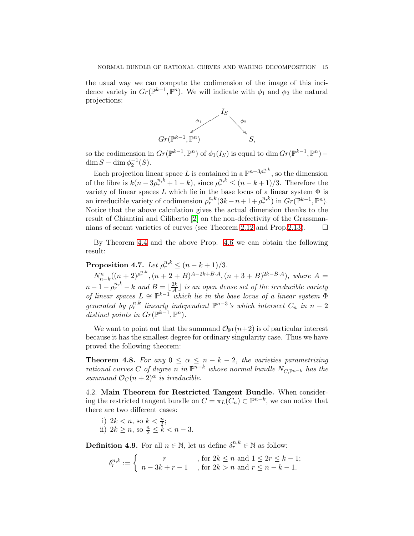the usual way we can compute the codimension of the image of this incidence variety in  $Gr(\mathbb{P}^{k-1}, \mathbb{P}^n)$ . We will indicate with  $\phi_1$  and  $\phi_2$  the natural projections:



so the codimension in  $Gr(\mathbb{P}^{k-1}, \mathbb{P}^n)$  of  $\phi_1(I_S)$  is equal to dim  $Gr(\mathbb{P}^{k-1}, \mathbb{P}^n)$  - $\dim S - \dim \phi_2^{-1}(S)$ .

Each projection linear space L is contained in a  $\mathbb{P}^{n-3\rho_r^{n,k}}$ , so the dimension of the fibre is  $k(n-3\rho_r^{n,k}+1-k)$ , since  $\rho_r^{n,k} \le (n-k+1)/3$ . Therefore the variety of linear spaces L which lie in the base locus of a linear system  $\Phi$  is an irreducible variety of codimension  $\rho_r^{n,k}(3k-n+1+\rho_r^{n,k})$  in  $Gr(\mathbb{P}^{k-1}, \mathbb{P}^n)$ . Notice that the above calculation gives the actual dimension thanks to the result of Chiantini and Ciliberto [\[2\]](#page-18-9) on the non-defectivity of the Grassman-nians of secant varieties of curves (see Theorem [2.12](#page-5-0) and Prop[.2.13\)](#page-5-1).  $\Box$ 

By Theorem [4.4](#page-12-0) and the above Prop. [4.6](#page-13-1) we can obtain the following result:

**Proposition 4.7.** *Let*  $\rho_r^{n,k} \leq (n - k + 1)/3$ *.* 

 $N_{n-k}^n((n+2)e^{n,k}, (n+2+B)^{A-2k+B\cdot A}, (n+3+B)^{2k-B\cdot A}),$  where  $A=$  $n-1-\rho_r^{n,k}-k$  and  $B=\lfloor\frac{2k}{A}\rfloor$  is an open dense set of the irreducible variety *of linear spaces*  $L \cong \mathbb{P}^{k-1}$  *which lie in the base locus of a linear system*  $\Phi$ *generated by*  $\rho_r^{n,k}$  *linearly independent*  $\mathbb{P}^{n-3}$ 's which intersect  $C_n$  *in*  $n-2$ *distinct points in*  $Gr(\mathbb{P}^{k-1}, \mathbb{P}^n)$ *.* 

We want to point out that the summand  $\mathcal{O}_{\mathbb{P}^1}(n+2)$  is of particular interest because it has the smallest degree for ordinary singularity case. Thus we have proved the following theorem:

<span id="page-14-0"></span>**Theorem 4.8.** For any  $0 \le \alpha \le n - k - 2$ , the varieties parametrizing *rational curves* C *of degree n in*  $\mathbb{P}^{n-k}$  *whose normal bundle*  $N_{C, \mathbb{P}^{n-k}}$  *has the summand*  $\mathcal{O}_C(n+2)^\alpha$  *is irreducible.* 

4.2. Main Theorem for Restricted Tangent Bundle. When considering the restricted tangent bundle on  $C = \pi_L(C_n) \subset \mathbb{P}^{n-k}$ , we can notice that there are two different cases:

- i)  $2k < n$ , so  $k < \frac{n}{2}$ ;
- ii)  $2k \geq n$ , so  $\frac{n}{2} \leq \tilde{k} < n-3$ .

**Definition 4.9.** For all  $n \in \mathbb{N}$ , let us define  $\delta_r^{n,k} \in \mathbb{N}$  as follow:

$$
\delta_r^{n,k} := \left\{ \begin{array}{c} r \\ n - 3k + r - 1 \end{array} \right., \text{ for } 2k \le n \text{ and } 1 \le 2r \le k - 1;
$$
  
for  $2k > n$  and  $r \le n - k - 1$ .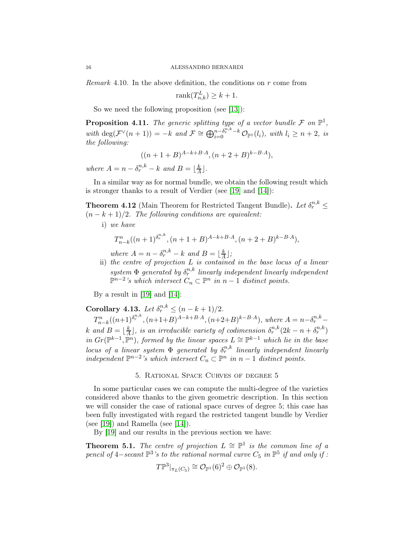*Remark* 4.10*.* In the above definition, the conditions on r come from

$$
rank(T_{n,k}^L) \ge k+1.
$$

So we need the following proposition (see [\[13\]](#page-19-8)):

**Proposition 4.11.** The generic splitting type of a vector bundle  $\mathcal{F}$  on  $\mathbb{P}^1$ ,  $with \deg(\mathcal{F}^{\vee}(n+1)) = -k \text{ and } \mathcal{F} \cong \bigoplus_{i=0}^{n-\delta_r^{n,k}-k} \mathcal{O}_{\mathbb{P}^1}(l_i), \text{ with } l_i \geq n+2, \text{ is }$ *the following:*

$$
((n+1+B)^{A-k+B\cdot A}, (n+2+B)^{k-B\cdot A}),
$$

*where*  $A = n - \delta_r^{n,k} - k$  *and*  $B = \lfloor \frac{k}{A} \rfloor$  $\frac{k}{A}$ .

In a similar way as for normal bundle, we obtain the following result which is stronger thanks to a result of Verdier (see [\[19\]](#page-19-3) and [\[14\]](#page-19-4)):

<span id="page-15-0"></span>**Theorem 4.12** (Main Theorem for Restricted Tangent Bundle). Let  $\delta_r^{n,k} \leq$ (n − k + 1)/2*. The following conditions are equivalent:*

i) *we have*

$$
T_{n-k}^n((n+1)^{\delta_r^{n,k}}, (n+1+B)^{A-k+B\cdot A}, (n+2+B)^{k-B\cdot A}),
$$

*where*  $A = n - \delta_r^{n,k} - k$  *and*  $B = \lfloor \frac{k}{A} \rfloor$  $\frac{k}{A}$ ];

ii) *the centre of projection* L *is contained in the base locus of a linear*  $system \Phi$  generated by  $\delta_r^{n,k}$  linearly independent linearly independent  $\mathbb{P}^{n-2}$ 's which intersect  $C_n \subset \mathbb{P}^n$  in  $n-1$  distinct points.

By a result in [\[19\]](#page-19-3) and [\[14\]](#page-19-4):

**Corollary 4.13.** *Let*  $\delta_r^{n,k} \leq (n - k + 1)/2$ *.* 

 $T_{n-k}^n((n+1)^{\delta_r^{n,k}},(n+1+B)^{A-k+B\cdot A},(n+2+B)^{k-B\cdot A}),$  where  $A=n-\delta_r^{n,k}$  $k$  *and*  $B = \frac{k}{4}$  $\frac{k}{A}$ ], is an irreducible variety of codimension  $\delta_r^{n,k}(2k - n + \delta_r^{n,k})$ *in*  $Gr(\mathbb{P}^{k-1}, \mathbb{P}^n)$ *, formed by the linear spaces*  $L \cong \mathbb{P}^{k-1}$  *which lie in the base locus of a linear system*  $\Phi$  *generated by*  $\delta_r^{n,k}$  *linearly independent linearly independent*  $\mathbb{P}^{n-2}$ 's which intersect  $C_n$  ⊂  $\mathbb{P}^n$  in n − 1 *distinct points.* 

## 5. Rational Space Curves of degree 5

In some particular cases we can compute the multi-degree of the varieties considered above thanks to the given geometric description. In this section we will consider the case of rational space curves of degree 5; this case has been fully investigated with regard the restricted tangent bundle by Verdier (see [\[19\]](#page-19-3)) and Ramella (see [\[14\]](#page-19-4)).

By [\[19\]](#page-19-3) and our results in the previous section we have:

**Theorem 5.1.** *The centre of projection*  $L \cong \mathbb{P}^1$  *is the common line of a pencil of*  $4$ *-secant*  $\mathbb{P}^3$ 's to the rational normal curve  $C_5$  *in*  $\mathbb{P}^5$  *if and only if :* 

$$
T{\mathbb P}^3|_{\pi_L(C_5)}\cong{\mathcal O}_{{\mathbb P}^1}(6)^2\oplus{\mathcal O}_{{\mathbb P}^1}(8).
$$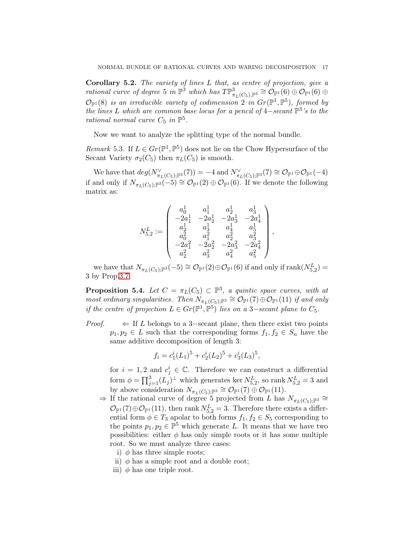Corollary 5.2. *The variety of lines* L *that, as centre of projection, give a rational curve of degree* 5 *in*  $\mathbb{P}^3$  *which has*  $T\mathbb{P}^3_{\pi_L(C_5),\mathbb{P}^3} \cong \mathcal{O}_{\mathbb{P}^1}(6) \oplus \mathcal{O}_{\mathbb{P}^1}(6) \oplus$  $\mathcal{O}_{\mathbb{P}^1}(8)$  *is an irreducible variety of codimension* 2 *in*  $Gr(\mathbb{P}^1, \mathbb{P}^5)$ *, formed by the lines* L *which are common base locus for a pencil of* 4−*secant* P 3 *'s to the rational normal curve*  $C_5$  *in*  $\mathbb{P}^5$ *.* 

Now we want to analyze the splitting type of the normal bundle.

*Remark* 5.3. If  $L \in Gr(\mathbb{P}^1, \mathbb{P}^5)$  does not lie on the Chow Hypersurface of the Secant Variety  $\sigma_2(C_5)$  then  $\pi_L(C_5)$  is smooth.

We have that  $deg(N_{\pi_L(C_5);\mathbb{P}^3}^{\vee}(7)) = -4$  and  $N_{\pi_L(C_5);\mathbb{P}^3}^{\vee}(7) \cong \mathcal{O}_{\mathbb{P}^1}(\Theta \oplus \mathcal{O}_{\mathbb{P}^1}(-4))$ if and only if  $N_{\pi_L(C_5);\mathbb{P}^3}(-5) \cong \mathcal{O}_{\mathbb{P}^1}(2) \oplus \mathcal{O}_{\mathbb{P}^1}(6)$ . If we denote the following matrix as:

$$
N_{5,2}^L:=\left(\begin{array}{cccc} a_0^1 & a_1^1 & a_2^1 & a_3^1 \\ -2a_1^1 & -2a_2^1 & -2a_3^1 & -2a_4^1 \\ a_2^1 & a_3^1 & a_4^1 & a_5^1 \\ a_0^2 & a_1^2 & a_2^2 & a_3^2 \\ -2a_1^2 & -2a_2^2 & -2a_3^2 & -2a_4^2 \\ a_2^2 & a_3^2 & a_4^2 & a_5^2 \end{array}\right),
$$

we have that  $N_{\pi_L(C_5);\mathbb{P}^3}(-5) \cong \mathcal{O}_{\mathbb{P}^1}(2) \oplus \mathcal{O}_{\mathbb{P}^1}(6)$  if and only if  $\text{rank}(N_{5,2}^L) =$ 3 by Prop[.3.7.](#page-10-0)

**Proposition 5.4.** Let  $C = \pi_L(C_5) \subset \mathbb{P}^3$ , a quintic space curves, with at *most ordinary singularities. Then*  $N_{\pi_L(C_5);\mathbb{P}^3} \cong \mathcal{O}_{\mathbb{P}^1}(7) \oplus \mathcal{O}_{\mathbb{P}^1}(11)$  *if and only if the centre of projection*  $L \in Gr(\mathbb{P}^1, \mathbb{P}^5)$  *lies on a* 3–*secant plane to*  $C_5$ *.* 

*Proof.*  $\leftarrow$  If L belongs to a 3-secant plane, then there exist two points  $p_1, p_2 \in L$  such that the corresponding forms  $f_1, f_2 \in S_n$  have the same additive decomposition of length 3:

$$
f_i = c_1^i (L_1)^5 + c_2^i (L_2)^5 + c_3^i (L_3)^5,
$$

for  $i = 1, 2$  and  $c_j^i \in \mathbb{C}$ . Therefore we can construct a differential form  $\phi = \prod_{j=1}^{3} (L_j)^{\perp}$  which generates ker  $N_{5,2}^{L}$ , so rank  $N_{5,2}^{L} = 3$  and by above consideration  $N_{\pi_L(C_5);\mathbb{P}^3} \cong \mathcal{O}_{\mathbb{P}^1}(7) \oplus \mathcal{O}_{\mathbb{P}^1}(11).$ 

 $\Rightarrow$  If the rational curve of degree 5 projected from L has  $N_{\pi_L(C_5);\mathbb{P}^3} \cong$  $\mathcal{O}_{\mathbb{P}^1}(7) \oplus \mathcal{O}_{\mathbb{P}^1}(11)$ , then rank  $N_{5,2}^L = 3$ . Therefore there exists a differential form  $\phi \in T_3$  apolar to both forms  $f_1, f_2 \in S_5$  corresponding to the points  $p_1, p_2 \in \mathbb{P}^5$  which generate L. It means that we have two possibilities: either  $\phi$  has only simple roots or it has some multiple root. So we must analyze three cases:

- i)  $\phi$  has three simple roots;
- ii)  $\phi$  has a simple root and a double root;
- iii)  $\phi$  has one triple root.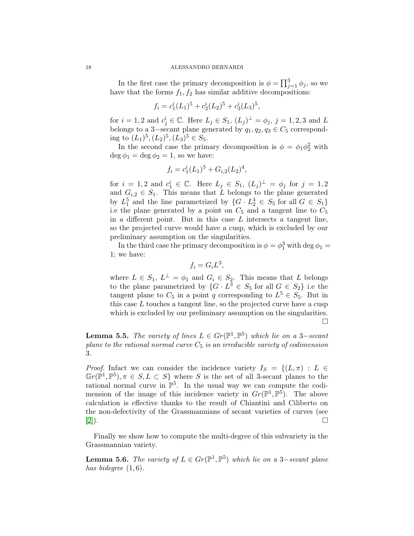In the first case the primary decomposition is  $\phi = \prod_{j=1}^{3} \phi_j$ , so we have that the forms  $f_1, f_2$  has similar additive decompositions:

$$
f_i = c_1^i (L_1)^5 + c_2^i (L_2)^5 + c_3^i (L_3)^5,
$$

for  $i = 1, 2$  and  $c_j^i \in \mathbb{C}$ . Here  $L_j \in S_1$ ,  $(L_j)^{\perp} = \phi_j$ ,  $j = 1, 2, 3$  and L belongs to a 3–secant plane generated by  $q_1, q_2, q_3 \in C_5$  corresponding to  $(L_1)^5, (L_2)^5, (L_3)^5 \in S_5$ .

In the second case the primary decomposition is  $\phi = \phi_1 \phi_2^2$  with deg  $\phi_1 = \deg \phi_2 = 1$ , so we have:

$$
f_i = c_1^i (L_1)^5 + G_{i,2}(L_2)^4,
$$

for  $i = 1, 2$  and  $c_1^i \in \mathbb{C}$ . Here  $L_j \in S_1$ ,  $(L_j)^{\perp} = \phi_j$  for  $j = 1, 2$ and  $G_{i,2} \in S_1$ . This means that L belongs to the plane generated by  $L_1^5$  and the line parametrized by  $\{G \cdot L_2^4 \in S_5 \text{ for all } G \in S_1\}$ i.e the plane generated by a point on  $C_5$  and a tangent line to  $C_5$ in a different point. But in this case  $L$  intersects a tangent line, so the projected curve would have a cusp, which is excluded by our preliminary assumption on the singularities.

In the third case the primary decomposition is  $\phi = \phi_1^3$  with  $\deg \phi_1 =$ 1; we have:

$$
f_i = G_i L^3,
$$

where  $L \in S_1$ ,  $L^{\perp} = \phi_1$  and  $G_i \in S_2$ . This means that L belongs to the plane parametrized by  $\{G \cdot L^3 \in S_5 \text{ for all } G \in S_2\}$  i.e the tangent plane to  $C_5$  in a point q corresponding to  $L^5 \in S_5$ . But in this case  $L$  touches a tangent line, so the projected curve have a cusp which is excluded by our preliminary assumption on the singularities.  $\Box$ 

**Lemma 5.5.** *The variety of lines*  $L \in Gr(\mathbb{P}^1, \mathbb{P}^5)$  *which lie on a* 3-*secant plane to the rational normal curve* C<sup>5</sup> *is an irreducible variety of codimension* 3*.*

*Proof.* Infact we can consider the incidence variety  $I_S = \{(L, \pi) : L \in$  $\mathbb{G}r(\mathbb{P}^1, \mathbb{P}^5), \pi \in S, L \subset S$  where S is the set of all 3-secant planes to the rational normal curve in  $\mathbb{P}^5$ . In the usual way we can compute the codimension of the image of this incidence variety in  $Gr(\mathbb{P}^1, \mathbb{P}^5)$ . The above calculation is effective thanks to the result of Chiantini and Ciliberto on the non-defectivity of the Grassmannians of secant varieties of curves (see  $[2]$ ).

Finally we show how to compute the multi-degree of this subvariety in the Grassmannian variety.

**Lemma 5.6.** *The variety of*  $L \in Gr(\mathbb{P}^1, \mathbb{P}^5)$  *which lie on a* 3–*secant plane has bidegree* (1, 6)*.*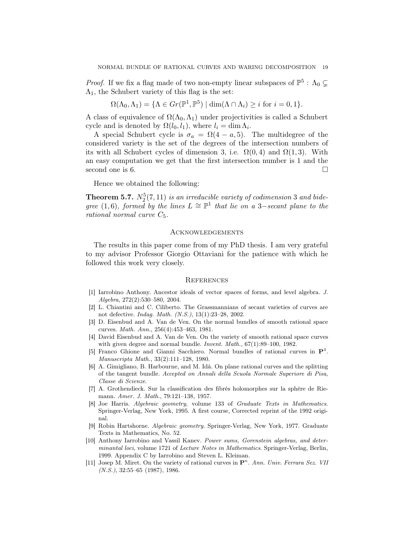*Proof.* If we fix a flag made of two non-empty linear subspaces of  $\mathbb{P}^5$  :  $\Lambda_0 \subsetneq$  $\Lambda_1$ , the Schubert variety of this flag is the set:

$$
\Omega(\Lambda_0,\Lambda_1) = \{ \Lambda \in Gr(\mathbb{P}^1,\mathbb{P}^5) \mid \dim(\Lambda \cap \Lambda_i) \geq i \text{ for } i = 0,1 \}.
$$

A class of equivalence of  $\Omega(\Lambda_0,\Lambda_1)$  under projectivities is called a Schubert cycle and is denoted by  $\Omega(l_0, l_1)$ , where  $l_i = \dim \Lambda_i$ .

A special Schubert cycle is  $\sigma_a = \Omega(4 - a, 5)$ . The multidegree of the considered variety is the set of the degrees of the intersection numbers of its with all Schubert cycles of dimension 3, i.e.  $\Omega(0, 4)$  and  $\Omega(1, 3)$ . With an easy computation we get that the first intersection number is 1 and the second one is 6.  $\Box$ 

Hence we obtained the following:

<span id="page-18-5"></span>**Theorem 5.7.**  $N_2^5(7, 11)$  *is an irreducible variety of codimension* 3 *and bidegree* (1,6)*, formed by the lines*  $L \cong \mathbb{P}^1$  *that lie on a* 3–*secant plane to the rational normal curve* C5*.*

## Acknowledgements

The results in this paper come from of my PhD thesis. I am very grateful to my advisor Professor Giorgio Ottaviani for the patience with which he followed this work very closely.

#### **REFERENCES**

- <span id="page-18-1"></span>[1] Iarrobino Anthony. Ancestor ideals of vector spaces of forms, and level algebra. J. Algebra, 272(2):530–580, 2004.
- <span id="page-18-9"></span>[2] L. Chiantini and C. Ciliberto. The Grassmannians of secant varieties of curves are not defective. Indag. Math. (N.S.), 13(1):23–28, 2002.
- <span id="page-18-2"></span>[3] D. Eisenbud and A. Van de Ven. On the normal bundles of smooth rational space curves. Math. Ann., 256(4):453–463, 1981.
- <span id="page-18-3"></span>[4] David Eisenbud and A. Van de Ven. On the variety of smooth rational space curves with given degree and normal bundle. *Invent. Math.*,  $67(1):89-100$ , 1982.
- <span id="page-18-0"></span>[5] Franco Ghione and Gianni Sacchiero. Normal bundles of rational curves in  $\mathbf{P}^3$ . Manuscripta Math., 33(2):111–128, 1980.
- <span id="page-18-6"></span>[6] A. Gimigliano, B. Harbourne, and M. Idà. On plane rational curves and the splitting of the tangent bundle. Accepted on Annali della Scuola Normale Superiore di Pisa, Classe di Scienze.
- <span id="page-18-10"></span>[7] A. Grothendieck. Sur la classification des fibrés holomorphes sur la sphère de Riemann. Amer. J. Math., 79:121–138, 1957.
- <span id="page-18-8"></span>[8] Joe Harris. Algebraic geometry, volume 133 of Graduate Texts in Mathematics. Springer-Verlag, New York, 1995. A first course, Corrected reprint of the 1992 original.
- <span id="page-18-11"></span>[9] Robin Hartshorne. Algebraic geometry. Springer-Verlag, New York, 1977. Graduate Texts in Mathematics, No. 52.
- <span id="page-18-7"></span>[10] Anthony Iarrobino and Vassil Kanev. Power sums, Gorenstein algebras, and determinantal loci, volume 1721 of Lecture Notes in Mathematics. Springer-Verlag, Berlin, 1999. Appendix C by Iarrobino and Steven L. Kleiman.
- <span id="page-18-4"></span>[11] Josep M. Miret. On the variety of rational curves in  $\mathbf{P}^n$ . Ann. Univ. Ferrara Sez. VII  $(N.S.), 32:55-65 (1987), 1986.$